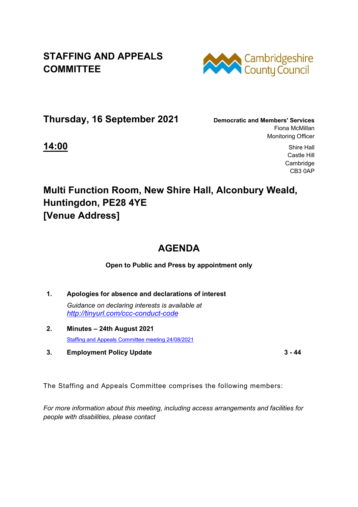**STAFFING AND APPEALS COMMITTEE** 



**Thursday, 16 September 2021 Democratic and Members' Services**

Fiona McMillan Monitoring Officer

**14:00** Shire Hall Castle Hill Cambridge CB3 0AP

## **Multi Function Room, New Shire Hall, Alconbury Weald, Huntingdon, PE28 4YE [Venue Address]**

## **AGENDA**

**Open to Public and Press by appointment only** 

- **1. Apologies for absence and declarations of interest**  *Guidance on declaring interests is available at <http://tinyurl.com/ccc-conduct-code>*
- **2. Minutes – 24th August 2021**  [Staffing and Appeals Committee meeting 24/08/2021](http://cambridgeshire.cmis.uk.com/ccc_live/Meetings/tabid/70/ctl/ViewMeetingPublic/mid/397/Meeting/1849/Committee/19/Default.aspx)
- **3. Employment Policy Update 3 44**

The Staffing and Appeals Committee comprises the following members:

*For more information about this meeting, including access arrangements and facilities for people with disabilities, please contact*